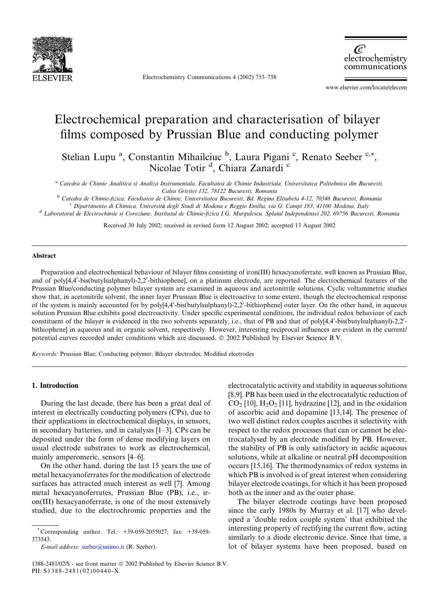

Electrochemistry Communications 4 (2002) 753–758



www.elsevier.com/locate/elecom

# Electrochemical preparation and characterisation of bilayer films composed by Prussian Blue and conducting polymer

Stelian Lupu<sup>a</sup>, Constantin Mihailciuc<sup>b</sup>, Laura Pigani<sup>c</sup>, Renato Seeber<sup>c,\*</sup>, Nicolae Totir<sup>d</sup>, Chiara Zanardi<sup>c</sup>

<sup>a</sup> Catedra de Chimie Analitica si Analiza Instrumentala, Facultatea de Chimie Industriala, Universitatea Politehnica din Bucuresti,

Calea Grivitei 132, 78122 Bucuresti, Romania

<sup>b</sup> Catedra de Chimie-fizica, Facultatea de Chimie, Universitatea Bucuresti, Bd. Regina Elisabeta 4-12, 70346 Bucuresti, Romania

<sup>c</sup> Dipartimento di Chimica, Università degli Studi di Modena e Reggio Emilia, via G. Campi 183, 41100 Modena, Italy<br>Laboratorul de Electrochimie si Coroziune, Institutul de Chimie-fizica I.G. Murgulescu, Splaiul Independe

Received 30 July 2002; received in revised form 12 August 2002; accepted 13 August 2002

## Abstract

Preparation and electrochemical behaviour of bilayer films consisting of iron(III) hexacyanoferrate, well known as Prussian Blue, and of poly[4,4'-bis(butylsulphanyl)-2,2'-bithiophene], on a platinum electrode, are reported. The electrochemical features of the Prussian Blue/conducting polymer bilayer system are examined in aqueous and acetonitrile solutions. Cyclic voltammetric studies show that, in acetonitrile solvent, the inner layer Prussian Blue is electroactive to some extent, though the electrochemical response of the system is mainly accounted for by poly[4,4'-bis(butylsulphanyl)-2,2'-bithiophene] outer layer. On the other hand, in aqueous solution Prussian Blue exhibits good electroactivity. Under specific experimental conditions, the individual redox behaviour of each constituent of the bilayer is evidenced in the two solvents separately, i.e., that of PB and that of poly[4,4'-bis(butylsulphanyl)-2,2'bithiophene] in aqueous and in organic solvent, respectively. However, interesting reciprocal influences are evident in the current/ potential curves recorded under conditions which are discussed. 2002 Published by Elsevier Science B.V.

Keywords: Prussian Blue; Conducting polymer; Bilayer electrodes; Modified electrodes

# 1. Introduction

During the last decade, there has been a great deal of interest in electrically conducting polymers (CPs), due to their applications in electrochemical displays, in sensors, in secondary batteries, and in catalysis [1–3]. CPs can be deposited under the form of dense modifying layers on usual electrode substrates to work as electrochemical, mainly amperomeric, sensors [4–6].

On the other hand, during the last 15 years the use of metal hexacyanoferrates for the modification of electrode surfaces has attracted much interest as well [7]. Among metal hexacyanoferrates, Prussian Blue (PB), i.e., iron(III) hexacyanoferrate, is one of the most extensively studied, due to the electrochromic properties and the

1388-2481/02/\$ - see front matter 2002 Published by Elsevier Science B.V. PII: S1388-2481(02)00440-X

electrocatalytic activity and stability in aqueous solutions [8,9]. PB has been used in the electrocatalytic reduction of  $CO<sub>2</sub>$  [10], H<sub>2</sub>O<sub>2</sub> [11], hydrazine [12], and in the oxidation of ascorbic acid and dopamine [13,14]. The presence of two well distinct redox couples ascribes it selectivity with respect to the redox processes that can or cannot be electrocatalysed by an electrode modified by PB. However, the stability of PB is only satisfactory in acidic aqueous solutions, while at alkaline or neutral pH decomposition occurs [15,16]. The thermodynamics of redox systems in which PB is involved is of great interest when considering bilayer electrode coatings, for which it has been proposed both as the inner and as the outer phase.

The bilayer electrode coatings have been proposed since the early 1980s by Murray et al. [17] who developed a 'double redox couple system' that exhibited the interesting property of rectifying the current flow, acting similarly to a diode electronic device. Since that time, a lot of bilayer systems have been proposed, based on

<sup>\*</sup> Corresponding author. Tel.: +39-059-2055027; fax: +39-059- 373543.

E-mail address: [seeber@unimo.it](mail to: seeber@unimo.it) (R. Seeber).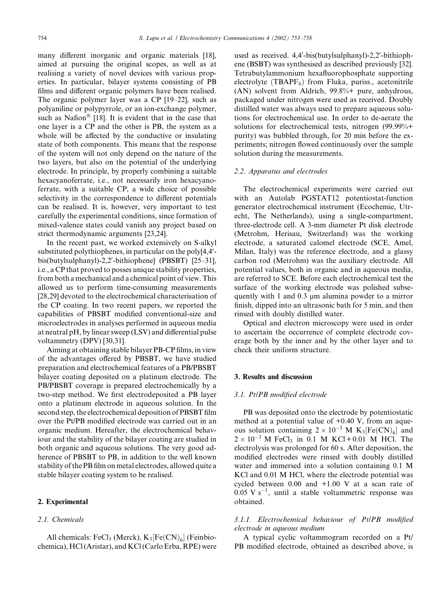many different inorganic and organic materials [18], aimed at pursuing the original scopes, as well as at realising a variety of novel devices with various properties. In particular, bilayer systems consisting of PB films and different organic polymers have been realised. The organic polymer layer was a CP [19–22], such as polyaniline or polypyrrole, or an ion-exchange polymer, such as Nafion<sup>®</sup> [18]. It is evident that in the case that one layer is a CP and the other is PB, the system as a whole will be affected by the conductive or insulating state of both components. This means that the response of the system will not only depend on the nature of the two layers, but also on the potential of the underlying electrode. In principle, by properly combining a suitable hexacyanoferrate, i.e., not necessarily iron hexacyanoferrate, with a suitable CP, a wide choice of possible selectivity in the correspondence to different potentials can be realised. It is, however, very important to test carefully the experimental conditions, since formation of mixed-valence states could vanish any project based on strict thermodynamic arguments [23,24].

In the recent past, we worked extensively on S-alkyl substituted polythiophenes, in particular on the poly[4,4'bis(butylsulphanyl)-2,2'-bithiophene] (PBSBT) [25-31], i.e., a CP that proved to posses unique stability properties, from both a mechanical and a chemical point of view. This allowed us to perform time-consuming measurements [28,29] devoted to the electrochemical characterisation of the CP coating. In two recent papers, we reported the capabilities of PBSBT modified conventional-size and microelectrodes in analyses performed in aqueous media at neutral pH, by linear sweep (LSV) and differential pulse voltammetry (DPV) [30,31].

Aiming at obtaining stable bilayer PB-CP films, in view of the advantages offered by PBSBT, we have studied preparation and electrochemical features of a PB/PBSBT bilayer coating deposited on a platinum electrode. The PB/PBSBT coverage is prepared electrochemically by a two-step method. We first electrodeposited a PB layer onto a platinum electrode in aqueous solution. In the second step, the electrochemical deposition of PBSBT film over the Pt/PB modified electrode was carried out in an organic medium. Hereafter, the electrochemical behaviour and the stability of the bilayer coating are studied in both organic and aqueous solutions. The very good adherence of PBSBT to PB, in addition to the well known stability of the PB film on metal electrodes, allowed quite a stable bilayer coating system to be realised.

## 2. Experimental

#### 2.1. Chemicals

All chemicals: FeCl<sub>3</sub> (Merck),  $K_3[Fe(CN)_6]$  (Feinbiochemica), HCl (Aristar), and KCl (Carlo Erba, RPE) were

used as received. 4,4'-bis(butylsulphanyl)-2,2'-bithiophene (BSBT) was synthesised as described previously [32]. Tetrabutylammonium hexafluorophosphate supporting electrolyte  $(TBAPF_6)$  from Fluka, puriss., acetonitrile (AN) solvent from Aldrich, 99.8%+ pure, anhydrous, packaged under nitrogen were used as received. Doubly distilled water was always used to prepare aqueous solutions for electrochemical use. In order to de-aerate the solutions for electrochemical tests, nitrogen (99.99%+ purity) was bubbled through, for 20 min before the experiments; nitrogen flowed continuously over the sample solution during the measurements.

## 2.2. Apparatus and electrodes

The electrochemical experiments were carried out with an Autolab PGSTAT12 potentiostat-function generator electrochemical instrument (Ecochemie, Utrecht, The Netherlands), using a single-compartment, three-electrode cell. A 3-mm diameter Pt disk electrode (Metrohm, Herisau, Switzerland) was the working electrode, a saturated calomel electrode (SCE, Amel, Milan, Italy) was the reference electrode, and a glassy carbon rod (Metrohm) was the auxiliary electrode. All potential values, both in organic and in aqueous media, are referred to SCE. Before each electrochemical test the surface of the working electrode was polished subsequently with 1 and  $0.3 \mu$ m alumina powder to a mirror finish, dipped into an ultrasonic bath for 5 min, and then rinsed with doubly distilled water.

Optical and electron microscopy were used in order to ascertain the occurrence of complete electrode coverage both by the inner and by the other layer and to check their uniform structure.

## 3. Results and discussion

## 3.1. Pt/PB modified electrode

PB was deposited onto the electrode by potentiostatic method at a potential value of +0.40 V, from an aqueous solution containing  $2 \times 10^{-3}$  M K<sub>3</sub> [Fe(CN)<sub>6</sub>] and  $2 \times 10^{-3}$  M FeCl<sub>3</sub> in 0.1 M KCl + 0.01 M HCl. The electrolysis was prolonged for 60 s. After deposition, the modified electrodes were rinsed with doubly distilled water and immersed into a solution containing 0.1 M KCl and 0.01 M HCl, where the electrode potential was cycled between 0.00 and +1.00 V at a scan rate of  $0.05 \text{ V s}^{-1}$ , until a stable voltammetric response was obtained.

# 3.1.1. Electrochemical behaviour of Pt/PB modified electrode in aqueous medium

A typical cyclic voltammogram recorded on a Pt/ PB modified electrode, obtained as described above, is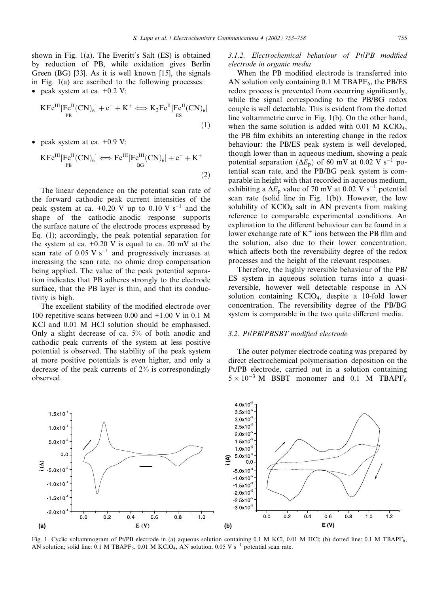shown in Fig. 1(a). The Everitt's Salt (ES) is obtained by reduction of PB, while oxidation gives Berlin Green (BG) [33]. As it is well known [15], the signals in Fig. 1(a) are ascribed to the following processes:

• peak system at ca.  $+0.2$  V:

$$
KFe^{III}[Fe^{II}(CN)_{6}] + e^{-} + K^{+} \Longleftrightarrow K_{2}Fe^{II}[Fe^{II}(CN)_{6}]
$$
  
<sub>ES</sub> (1)

• peak system at ca. +0.9 V:

$$
KFe^{III}[Fe^{II}(CN)_{6}] \iff Fe^{III}[Fe^{III}(CN)_{6}] + e^{-} + K^{+}
$$
  
<sub>BB</sub> (2)

The linear dependence on the potential scan rate of the forward cathodic peak current intensities of the peak system at ca.  $+0.20$  V up to 0.10 V s<sup>-1</sup> and the shape of the cathodic–anodic response supports the surface nature of the electrode process expressed by Eq. (1); accordingly, the peak potential separation for the system at ca.  $+0.20$  V is equal to ca. 20 mV at the scan rate of  $0.05 \text{ V s}^{-1}$  and progressively increases at increasing the scan rate, no ohmic drop compensation being applied. The value of the peak potential separation indicates that PB adheres strongly to the electrode surface, that the PB layer is thin, and that its conductivity is high.

The excellent stability of the modified electrode over 100 repetitive scans between 0.00 and +1.00 V in 0.1 M KCl and 0.01 M HCl solution should be emphasised. Only a slight decrease of ca. 5% of both anodic and cathodic peak currents of the system at less positive potential is observed. The stability of the peak system at more positive potentials is even higher, and only a decrease of the peak currents of 2% is correspondingly observed.

# 3.1.2. Electrochemical behaviour of Pt/PB modified electrode in organic media

When the PB modified electrode is transferred into AN solution only containing  $0.1$  M TBAPF<sub>6</sub>, the PB/ES redox process is prevented from occurring significantly, while the signal corresponding to the PB/BG redox couple is well detectable. This is evident from the dotted line voltammetric curve in Fig. 1(b). On the other hand, when the same solution is added with  $0.01$  M KClO<sub>4</sub>, the PB film exhibits an interesting change in the redox behaviour: the PB/ES peak system is well developed, though lower than in aqueous medium, showing a peak potential separation ( $\Delta E_p$ ) of 60 mV at 0.02 V s<sup>-1</sup> potential scan rate, and the PB/BG peak system is comparable in height with that recorded in aqueous medium, exhibiting a  $\Delta E_p$  value of 70 mV at 0.02 V s<sup>-1</sup> potential scan rate (solid line in Fig. 1(b)). However, the low solubility of  $KClO<sub>4</sub>$  salt in AN prevents from making reference to comparable experimental conditions. An explanation to the different behaviour can be found in a lower exchange rate of  $K^+$  ions between the PB film and the solution, also due to their lower concentration, which affects both the reversibility degree of the redox processes and the height of the relevant responses.

Therefore, the highly reversible behaviour of the PB/ ES system in aqueous solution turns into a quasireversible, however well detectable response in AN solution containing KClO4, despite a 10-fold lower concentration. The reversibility degree of the PB/BG system is comparable in the two quite different media.

#### 3.2. Pt/PB/PBSBT modified electrode

The outer polymer electrode coating was prepared by direct electrochemical polymerisation–deposition on the Pt/PB electrode, carried out in a solution containing  $5 \times 10^{-3}$  M BSBT monomer and 0.1 M TBAPF<sub>6</sub>



Fig. 1. Cyclic voltammogram of Pt/PB electrode in (a) aqueous solution containing 0.1 M KCl, 0.01 M HCl; (b) dotted line: 0.1 M TBAPF<sub>6</sub>, AN solution; solid line: 0.1 M TBAPF<sub>6</sub>, 0.01 M KClO<sub>4</sub>, AN solution. 0.05 V s<sup>-1</sup> potential scan rate.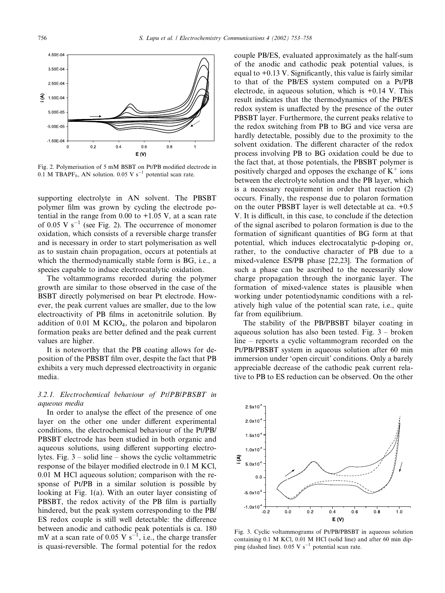

Fig. 2. Polymerisation of 5 mM BSBT on Pt/PB modified electrode in 0.1 M TBAPF<sub>6</sub>, AN solution. 0.05 V s<sup>-1</sup> potential scan rate.

supporting electrolyte in AN solvent. The PBSBT polymer film was grown by cycling the electrode potential in the range from  $0.00$  to  $+1.05$  V, at a scan rate of 0.05 V  $s^{-1}$  (see Fig. 2). The occurrence of monomer oxidation, which consists of a reversible charge transfer and is necessary in order to start polymerisation as well as to sustain chain propagation, occurs at potentials at which the thermodynamically stable form is BG, i.e., a species capable to induce electrocatalytic oxidation.

The voltammograms recorded during the polymer growth are similar to those observed in the case of the BSBT directly polymerised on bear Pt electrode. However, the peak current values are smaller, due to the low electroactivity of PB films in acetonitrile solution. By addition of 0.01 M KClO4, the polaron and bipolaron formation peaks are better defined and the peak current values are higher.

It is noteworthy that the PB coating allows for deposition of the PBSBT film over, despite the fact that PB exhibits a very much depressed electroactivity in organic media.

# 3.2.1. Electrochemical behaviour of Pt/PB/PBSBT in aqueous media

In order to analyse the effect of the presence of one layer on the other one under different experimental conditions, the electrochemical behaviour of the Pt/PB/ PBSBT electrode has been studied in both organic and aqueous solutions, using different supporting electrolytes. Fig. 3 – solid line – shows the cyclic voltammetric response of the bilayer modified electrode in 0.1 M KCl, 0.01 M HCl aqueous solution; comparison with the response of Pt/PB in a similar solution is possible by looking at Fig. 1(a). With an outer layer consisting of PBSBT, the redox activity of the PB film is partially hindered, but the peak system corresponding to the PB/ ES redox couple is still well detectable: the difference between anodic and cathodic peak potentials is ca. 180 mV at a scan rate of 0.05 V  $s^{-1}$ , i.e., the charge transfer is quasi-reversible. The formal potential for the redox couple PB/ES, evaluated approximately as the half-sum of the anodic and cathodic peak potential values, is equal to  $+0.13$  V. Significantly, this value is fairly similar to that of the PB/ES system computed on a Pt/PB electrode, in aqueous solution, which is  $+0.14$  V. This result indicates that the thermodynamics of the PB/ES redox system is unaffected by the presence of the outer PBSBT layer. Furthermore, the current peaks relative to the redox switching from PB to BG and vice versa are hardly detectable, possibly due to the proximity to the solvent oxidation. The different character of the redox process involving PB to BG oxidation could be due to the fact that, at those potentials, the PBSBT polymer is positively charged and opposes the exchange of  $K^+$  ions between the electrolyte solution and the PB layer, which is a necessary requirement in order that reaction (2) occurs. Finally, the response due to polaron formation on the outer PBSBT layer is well detectable at ca.  $+0.5$ V. It is difficult, in this case, to conclude if the detection of the signal ascribed to polaron formation is due to the formation of significant quantities of BG form at that potential, which induces electrocatalytic p-doping or, rather, to the conductive character of PB due to a mixed-valence ES/PB phase [22,23]. The formation of such a phase can be ascribed to the necessarily slow charge propagation through the inorganic layer. The formation of mixed-valence states is plausible when working under potentiodynamic conditions with a relatively high value of the potential scan rate, i.e., quite far from equilibrium.

The stability of the PB/PBSBT bilayer coating in aqueous solution has also been tested. Fig. 3 – broken line – reports a cyclic voltammogram recorded on the Pt/PB/PBSBT system in aqueous solution after 60 min immersion under 'open circuit' conditions. Only a barely appreciable decrease of the cathodic peak current relative to PB to ES reduction can be observed. On the other



Fig. 3. Cyclic voltammograms of Pt/PB/PBSBT in aqueous solution containing 0.1 M KCl, 0.01 M HCl (solid line) and after 60 min dipping (dashed line).  $0.05 \text{ V s}^{-1}$  potential scan rate.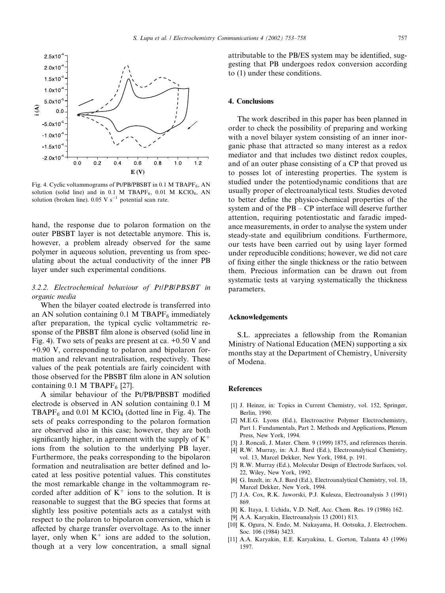

Fig. 4. Cyclic voltammograms of Pt/PB/PBSBT in 0.1 M TBAPF<sub>6</sub>, AN solution (solid line) and in  $0.1$  M TBAPF $_6$ ,  $0.01$  M KClO<sub>4</sub>, AN solution (broken line). 0.05 V  $s^{-1}$  potential scan rate.

hand, the response due to polaron formation on the outer PBSBT layer is not detectable anymore. This is, however, a problem already observed for the same polymer in aqueous solution, preventing us from speculating about the actual conductivity of the inner PB layer under such experimental conditions.

# 3.2.2. Electrochemical behaviour of Pt/PB/PBSBT in organic media

When the bilayer coated electrode is transferred into an AN solution containing  $0.1$  M TBAPF<sub>6</sub> immediately after preparation, the typical cyclic voltammetric response of the PBSBT film alone is observed (solid line in Fig. 4). Two sets of peaks are present at ca. +0.50 V and +0.90 V, corresponding to polaron and bipolaron formation and relevant neutralisation, respectively. These values of the peak potentials are fairly coincident with those observed for the PBSBT film alone in AN solution containing  $0.1$  M TBAPF<sub>6</sub> [27].

A similar behaviour of the Pt/PB/PBSBT modified electrode is observed in AN solution containing 0.1 M TBAPF<sub>6</sub> and 0.01 M KClO<sub>4</sub> (dotted line in Fig. 4). The sets of peaks corresponding to the polaron formation are observed also in this case; however, they are both significantly higher, in agreement with the supply of  $K^+$ ions from the solution to the underlying PB layer. Furthermore, the peaks corresponding to the bipolaron formation and neutralisation are better defined and located at less positive potential values. This constitutes the most remarkable change in the voltammogram recorded after addition of  $K^+$  ions to the solution. It is reasonable to suggest that the BG species that forms at slightly less positive potentials acts as a catalyst with respect to the polaron to bipolaron conversion, which is affected by charge transfer overvoltage. As to the inner layer, only when  $K^+$  ions are added to the solution, though at a very low concentration, a small signal

attributable to the PB/ES system may be identified, suggesting that PB undergoes redox conversion according to (1) under these conditions.

## 4. Conclusions

The work described in this paper has been planned in order to check the possibility of preparing and working with a novel bilayer system consisting of an inner inorganic phase that attracted so many interest as a redox mediator and that includes two distinct redox couples, and of an outer phase consisting of a CP that proved us to posses lot of interesting properties. The system is studied under the potentiodynamic conditions that are usually proper of electroanalytical tests. Studies devoted to better define the physico-chemical properties of the system and of the PB – CP interface will deserve further attention, requiring potentiostatic and faradic impedance measurements, in order to analyse the system under steady-state and equilibrium conditions. Furthermore, our tests have been carried out by using layer formed under reproducible conditions; however, we did not care of fixing either the single thickness or the ratio between them. Precious information can be drawn out from systematic tests at varying systematically the thickness parameters.

### Acknowledgements

S.L. appreciates a fellowship from the Romanian Ministry of National Education (MEN) supporting a six months stay at the Department of Chemistry, University of Modena.

## References

- [1] J. Heinze, in: Topics in Current Chemistry, vol. 152, Springer, Berlin, 1990.
- [2] M.E.G. Lyons (Ed.), Electroactive Polymer Electrochemistry, Part 1. Fundamentals, Part 2. Methods and Applications, Plenum Press, New York, 1994.
- [3] J. Roncali, J. Mater. Chem. 9 (1999) 1875, and references therein.
- [4] R.W. Murray, in: A.J. Bard (Ed.), Electroanalytical Chemistry, vol. 13, Marcel Dekker, New York, 1984, p. 191.
- [5] R.W. Murray (Ed.), Molecular Design of Electrode Surfaces, vol. 22, Wiley, New York, 1992.
- [6] G. Inzelt, in: A.J. Bard (Ed.), Electroanalytical Chemistry, vol. 18, Marcel Dekker, New York, 1994.
- [7] J.A. Cox, R.K. Jaworski, P.J. Kulesza, Electroanalysis 3 (1991) 869.
- [8] K. Itaya, I. Uchida, V.D. Neff, Acc. Chem. Res. 19 (1986) 162.
- [9] A.A. Karyakin, Electroanalysis 13 (2001) 813.
- [10] K. Ogura, N. Endo, M. Nakayama, H. Ootsuka, J. Electrochem. Soc. 106 (1984) 3423.
- [11] A.A. Karyakin, E.E. Karyakina, L. Gorton, Talanta 43 (1996) 1597.